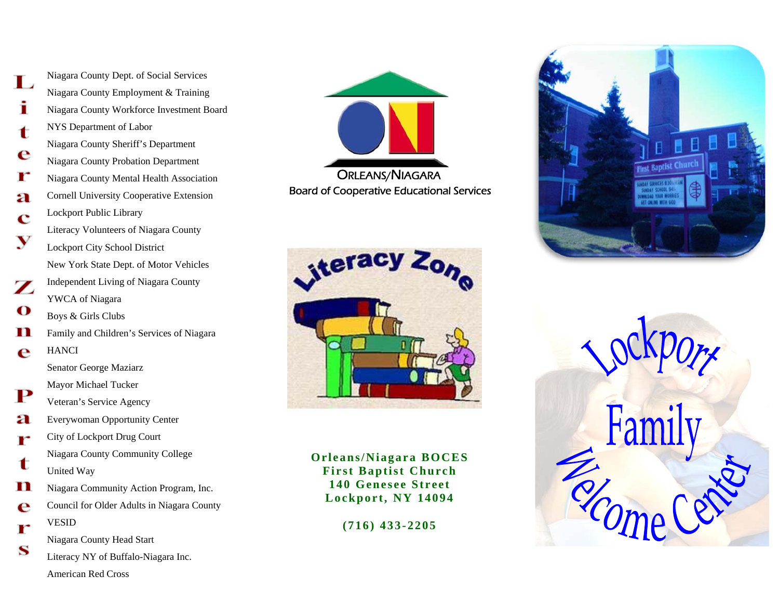Niagara County Dept. of Social Services Niagara County Employment & Training Ĭ Niagara County Workforce Investment Board NYS Department of Labor  $\mathbf t$ Niagara County Sheriff's Department e Niagara County Probation Department r Niagara County Mental Health Association a Cornell University Cooperative Extension Lockport Public Library  $\overline{\mathbf{C}}$ Literacy Volunteers of Niagara County V Lockport City School District New York State Dept. of Motor Vehicles Independent Living of Niagara County  $\mathbf{Z}$ YWCA of Niagara  $\mathbf O$ Boys & Girls Clubs n Family and Children's Services of Niagara e HANCI Senator George Maziarz Mayor Michael Tucker P Veteran's Service Agency Everywoman Opportunity Center a City of Lockport Drug Court r Niagara County Community College t United Way n Niagara Community Action Program, Inc. Council for Older Adults in Niagara County e VESID r Niagara County Head Start S Literacy NY of Buffalo-Niagara Inc. American Red Cross





**Orleans/Niagara BOCES First Baptist Church 140 Genesee Street Lockport, NY 14094** 

**(716) 433-2205**